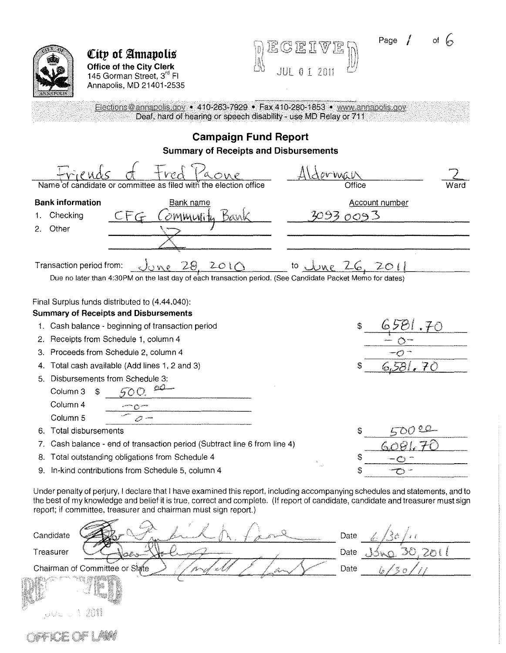Page  *of* 



**City of Annapolis Office of the City Clerk**  145 Gorman Street, 3<sup>rd</sup> Fl Annapolis, MD 21401-2535

| $\left\{ \begin{matrix} 0, & \mathbb{R} & \mathbb{R} & \mathbb{R} & \mathbb{R} \ \mathbb{R} & \mathbb{R} & \mathbb{R} & \mathbb{R} & \mathbb{R} \ \mathbb{R} & \mathbb{R} & \mathbb{R} & \mathbb{R} & \mathbb{R} & \mathbb{R} \end{matrix} \right\}$ |              |       |  |
|------------------------------------------------------------------------------------------------------------------------------------------------------------------------------------------------------------------------------------------------------|--------------|-------|--|
| $\Box$                                                                                                                                                                                                                                               | $\mathbb{R}$ | -2011 |  |

Elections@annapolls.gov • 410-263-7929 • Fax 410-280-1853 • www.annapolis.gov Deaf, hard of hearing or speech disability - use MD Relay or 711

#### **Campaign Fund Report Summary of Receipts and Disbursements**  <u>Alderwa</u> 2 md aone Name 'of candidate or committee as filed with the election office Office Ward **Bank information Bank name** Account number 1. Checking <u>CFG Community Bank</u> 3093 0093 2. Other Transaction period from:  $\frac{1}{28}$  2010 to  $\frac{1}{20}$  to  $\frac{1}{201}$ Due no later than 4:30PM on the last day of each transaction period. (See Candidate Packet Memo for dates)

Final Surplus funds distributed to (4.44.040):

#### **Summary of Receipts and Disbursements**

- 1. Cash balance- beginning of transaction period
- 2, Receipts from Schedule 1, column 4
- 3. Proceeds from Schedule 2, column 4
- 4. Total cash available (Add lines 1, 2 and 3)
- 5. Disbursements from Schedule 3:  $500.00$ Column 3 \$ Column4 Column 5
- 6. Total disbursements

FICE OF LAKE

- 7, Cash balance- end of transaction period (Subtract line 6 from line 4)
- 8. Total outstanding obligations from Schedule 4
- 9. In-kind contributions from Schedule 5, column 4

Under penalty of perjury, I declare that I have examined this report, including accompanying schedules and statements, and to the best of my knowledge and belief it is true, correct and complete. (If report of candidate, candidate and treasurer must sign report; if committee, treasurer and chairman must sign report.)

| Candidate                              | Date |
|----------------------------------------|------|
| Treasurer                              | Date |
| Chairman of Committee or State<br>La p | Date |
|                                        |      |
| e Mad<br>eW.<br>451                    |      |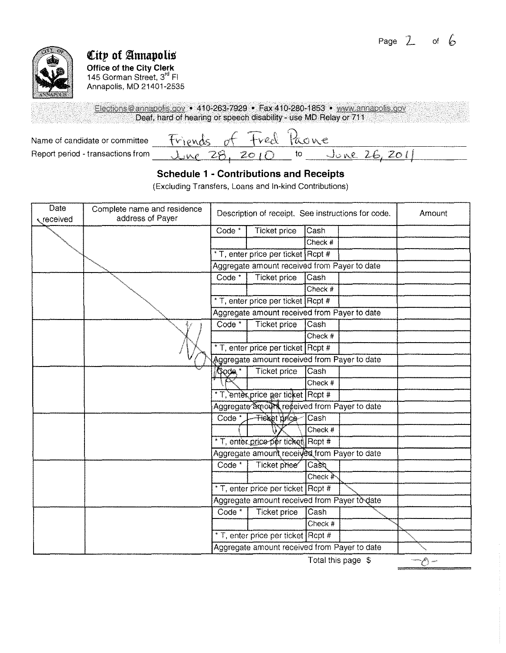

# **City of Annapolis**

**Office of the City Clerk**  145 Gorman Street, 3<sup>rd</sup> Fl Annapolis, MD 21401-2535

Elections@annapolis.gov • 410-263-7929 • Fax 410-280-1853 • www.annapolis.gov Deaf, hard of hearing or speech disability - use MD Relay or 711

Name of candidate or committee  $-$  Friends of Fred Paone<br>Report period - transactions from  $-$  June 28, 2010 to June 26, 2011 Report period -transactions from \_ \_,,)uc. ""-'-':\e""--· \_\_\_.,7"-8'-'.'-ll'-----'z=:.-::o'--'-t ,.0-'---- to \_ \_\_,cJ=v::..."'-~e\_'---'U~+I-'Z=o\_,lc.,}>-----

# **Schedule 1 • Contributions and Receipts**

(Excluding Transfers, Loans and In-kind Contributions)

| Date<br>received | Complete name and residence<br>address of Payer | Description of receipt. See instructions for code. |                                              |         | Amount |  |
|------------------|-------------------------------------------------|----------------------------------------------------|----------------------------------------------|---------|--------|--|
|                  |                                                 | Code $*$                                           | Ticket price                                 | Cash    |        |  |
|                  |                                                 |                                                    |                                              | Check # |        |  |
|                  |                                                 |                                                    | * T, enter price per ticket Rcpt #           |         |        |  |
|                  |                                                 |                                                    | Aggregate amount received from Payer to date |         |        |  |
|                  |                                                 | Code <sup>*</sup>                                  | <b>Ticket price</b>                          | Cash    |        |  |
|                  |                                                 |                                                    |                                              | Check # |        |  |
|                  |                                                 |                                                    | * T, enter price per ticket Rcpt #           |         |        |  |
|                  |                                                 |                                                    | Aggregate amount received from Payer to date |         |        |  |
|                  | ¥                                               | $Code*$                                            | Ticket price                                 | Cash    |        |  |
|                  |                                                 |                                                    |                                              | Check # |        |  |
|                  |                                                 |                                                    | * T, enter price per ticket Rcpt #           |         |        |  |
|                  |                                                 |                                                    | Aggregate amount received from Payer to date |         |        |  |
|                  |                                                 | <b>Gode</b>                                        | <b>Ticket price</b>                          | Cash    |        |  |
|                  |                                                 |                                                    |                                              | Check # |        |  |
|                  |                                                 |                                                    | * T, enter price per ticket Rcpt #           |         |        |  |
|                  |                                                 |                                                    | Aggregate amount received from Payer to date |         |        |  |
|                  |                                                 | Code <sup>*</sup>                                  | <b>Tieket price</b>                          | Cash    |        |  |
|                  |                                                 |                                                    |                                              | Check # |        |  |
|                  |                                                 |                                                    | * T, enter price per ticket Rcpt #           |         |        |  |
|                  |                                                 |                                                    | Aggregate amount received from Payer to date |         |        |  |
|                  |                                                 | $Code*$                                            | Ticket priee                                 | Cash    |        |  |
|                  |                                                 |                                                    |                                              | Check # |        |  |
|                  |                                                 |                                                    | * T, enter price per ticket Rcpt #           |         |        |  |
|                  |                                                 |                                                    | Aggregate amount received from Payer to date |         |        |  |
|                  |                                                 | Code <sup>*</sup>                                  | <b>Ticket price</b>                          | Cash    |        |  |
|                  |                                                 |                                                    |                                              | Check # |        |  |
|                  |                                                 |                                                    | * T, enter price per ticket Rcpt #           |         |        |  |
|                  |                                                 |                                                    | Aggregate amount received from Payer to date |         |        |  |

Total this page \$

 $-6-$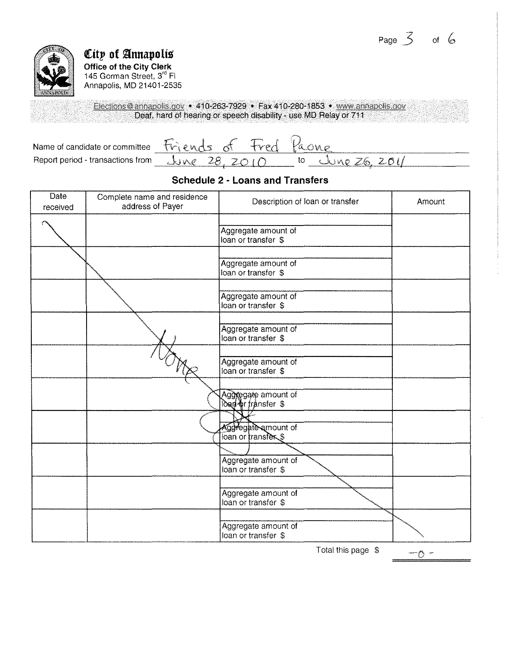

# **City of Annapolis**

**Office of the City Clerk**  145 Gorman Street, 3<sup>rd</sup> Fl Annapolis, MD 21401-2535

Elections@annapolis.gov • 410-263-7929 • Fax 410-280-1853 • www.annapolis.gov Deaf, hard of hearing or speech disability - use MD Relay or 711

Name of candidate or committee  $r\cdot\frac{m}{28,2010}$  freed  $\frac{m}{26,201}$ Report period - transactions from  $\overline{\bigcup_{v \in V} e \quad 28, \quad 201}$  to

### **Schedule 2 - Loans and Transfers**

| Complete name and residence<br>address of Payer | Description of loan or transfer            | Amount |
|-------------------------------------------------|--------------------------------------------|--------|
|                                                 | Aggregate amount of<br>loan or transfer \$ |        |
|                                                 | Aggregate amount of<br>loan or transfer \$ |        |
|                                                 | Aggregate amount of<br>loan or transfer \$ |        |
|                                                 | Aggregate amount of<br>loan or transfer \$ |        |
|                                                 | Aggregate amount of<br>loan or transfer \$ |        |
|                                                 | Aggregate amount of<br>lout or fransfer \$ |        |
|                                                 | Aggregate amount of<br>loan or transfers   |        |
|                                                 | Aggregate amount of<br>loan or transfer \$ |        |
|                                                 | Aggregate amount of<br>loan or transfer \$ |        |
|                                                 | Aggregate amount of<br>loan or transfer \$ |        |
|                                                 |                                            |        |

Total this page \$

ramme of the case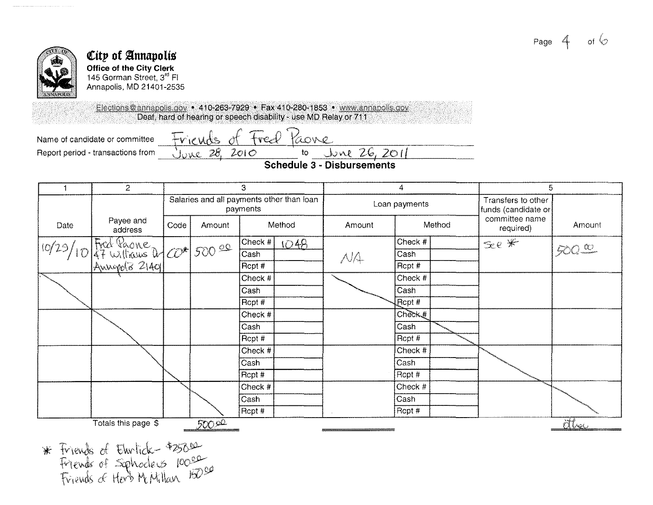



#### City of Annapolis **Office of the City Clerk** 145 Gorman Street, 3rd FI Annapolis, MD 21401-2535

Elections@annapolis.gov • 410-263-7929 • Fax 410-280-1853 • www.annapolis.gov Deaf, hard of hearing or speech disability - use MD Relay or 711

Name of candidate or committee Report period - transactions from Friends of Fred Paone <u>June 28, 2010</u>  $\sqrt{26,201}$  $\mathsf{to}$ 

**Schedule 3 - Disbursements** 

|       | $\overline{c}$                       | 3    |        |                                                       | 4    |               | 5               |                                           |                             |             |
|-------|--------------------------------------|------|--------|-------------------------------------------------------|------|---------------|-----------------|-------------------------------------------|-----------------------------|-------------|
|       |                                      |      |        | Salaries and all payments other than loan<br>payments |      | Loan payments |                 | Transfers to other<br>funds (candidate or |                             |             |
| Date  | Payee and<br>address                 | Code | Amount | Method                                                |      | Amount        | Method          |                                           | committee name<br>required) | Amount      |
| 10/29 | Fred Paone<br>47 Williams 2 0 500 00 |      |        | Check #                                               | 1048 |               | Check #         |                                           | $\leqslant e$ *             |             |
|       |                                      |      |        | Cash                                                  |      | NA            | Cash            |                                           |                             | $500 - 100$ |
|       |                                      |      |        | Rcpt #                                                |      |               | Rcpt #          |                                           |                             |             |
|       |                                      |      |        | Check #                                               |      |               | Check #         |                                           |                             |             |
|       |                                      |      |        | Cash                                                  |      |               | Cash            |                                           |                             |             |
|       |                                      |      |        | Rcpt #                                                |      |               | Pcpt #          |                                           |                             |             |
|       |                                      |      |        | Check #                                               |      |               | $Ch\ddot{<}K$ # |                                           |                             |             |
|       |                                      |      |        | Cash                                                  |      |               | Cash            |                                           |                             |             |
|       |                                      |      |        | Rcpt #                                                |      |               | Rcpt #          |                                           |                             |             |
|       |                                      |      |        | Check #                                               |      |               | Check #         |                                           |                             |             |
|       |                                      |      |        | Cash                                                  |      |               | Cash            |                                           |                             |             |
|       |                                      |      |        | Rcpt #                                                |      |               | Rcpt #          |                                           |                             |             |
|       |                                      |      |        | Check #                                               |      |               | Check #         |                                           |                             |             |
|       |                                      |      |        | Cash                                                  |      |               | Cash            |                                           |                             |             |
|       |                                      |      |        | Rcpt #                                                |      |               | Rcpt #          |                                           |                             |             |
|       | Totals this page \$                  |      | 500 OC |                                                       |      |               |                 |                                           |                             | alree       |

\* Friends of Ehrlich +25000<br>Friends of Sphoders 10000<br>Friends of Herb McMillan 15000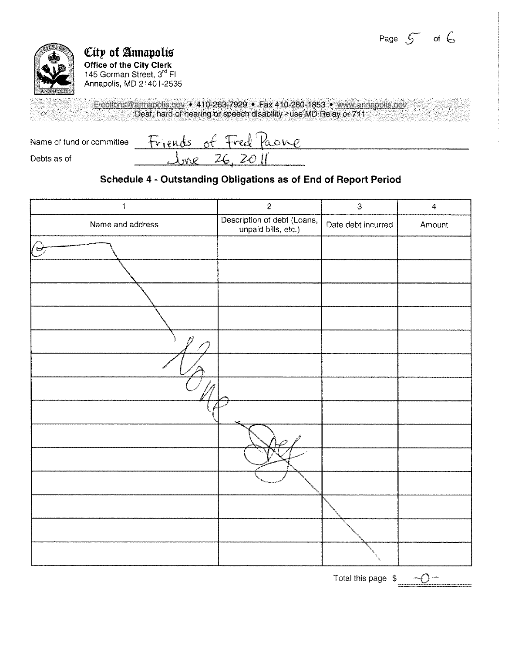## Page  $5$  of  $6$



# **City of Annapolis**

**Office of the City Clerk**  145 Gorman Street, 3<sup>rd</sup> Fl Annapolis, MD 21401-2535

Elections@annapolis.gov • 410-263-7929 • Fax 410-280-1853 • www.annapolis.gov Deaf, hard of hearing or speech disability - use MD Relay or 711

 $\delta^{\ell}$ Friends Kone Name of fund or committee  $2\epsilon$ Debts as of MÔ

## **Schedule 4 • Outstanding Obligations as of End of Report Period**

| $\mathbf{1}$     | $\overline{c}$                                     | 3                  | $\overline{4}$ |
|------------------|----------------------------------------------------|--------------------|----------------|
| Name and address | Description of debt (Loans,<br>unpaid bills, etc.) | Date debt incurred | Amount         |
| $(\Rightarrow$   |                                                    |                    |                |
|                  |                                                    |                    |                |
|                  |                                                    |                    |                |
|                  |                                                    |                    |                |
|                  |                                                    |                    |                |
|                  |                                                    |                    |                |
|                  |                                                    |                    |                |
|                  |                                                    |                    |                |
|                  |                                                    |                    |                |
|                  |                                                    |                    |                |
|                  |                                                    |                    |                |
|                  |                                                    |                    |                |
|                  |                                                    |                    |                |
|                  |                                                    |                    |                |

Total this page  $\sqrt[6]{\ }$